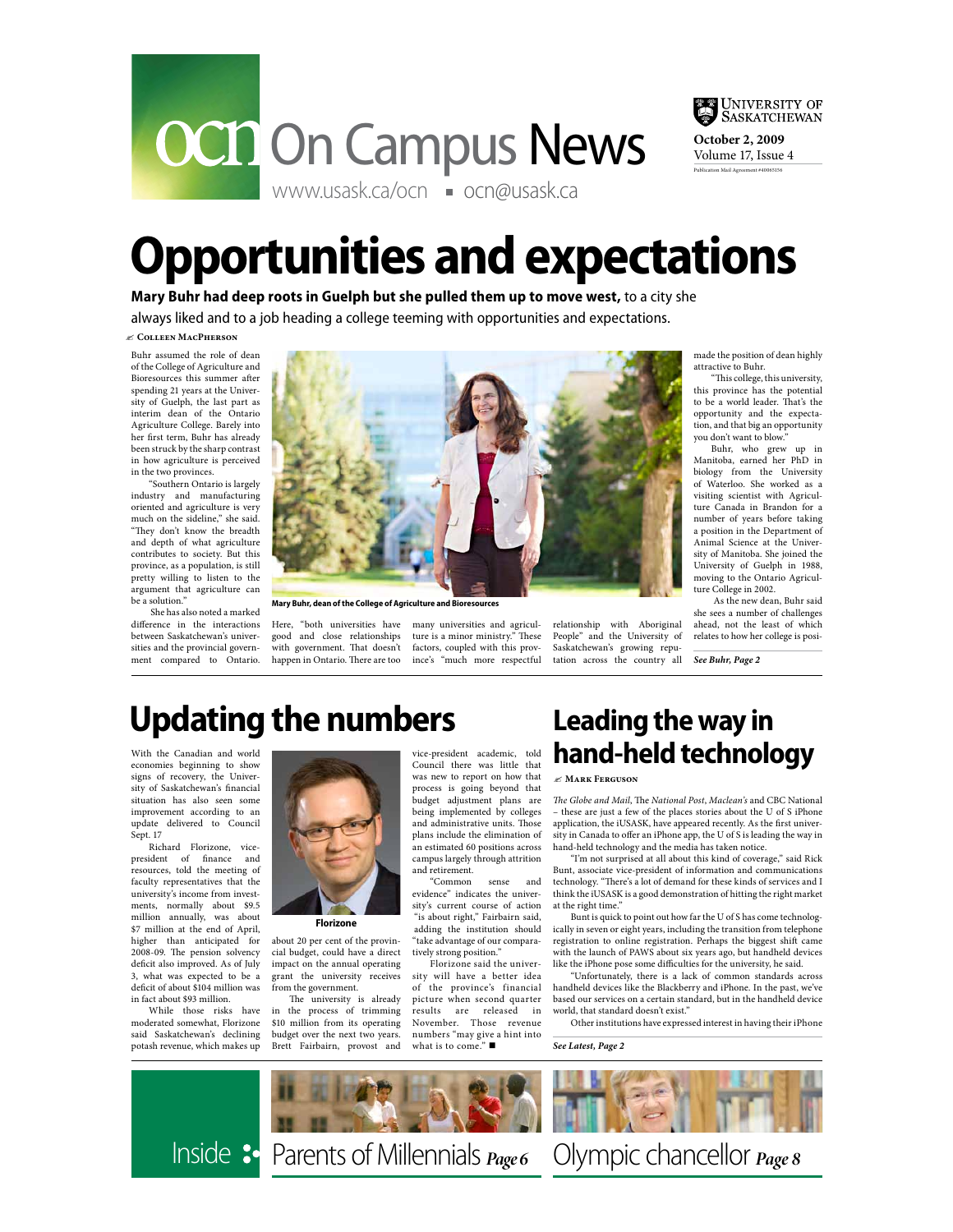



**October 2, 2009** Volume 17, Issue 4 Publication Mail Agreement #40065156

## **Opportunities and expectations**

**Mary Buhr had deep roots in Guelph but she pulled them up to move west,** to a city she always liked and to a job heading a college teeming with opportunities and expectations.

#### "**Colleen MacPherson**

Buhr assumed the role of dean of the College of Agriculture and Bioresources this summer after spending 21 years at the University of Guelph, the last part as interim dean of the Ontario Agriculture College. Barely into her first term. Buhr has already been struck by the sharp contrast in how agriculture is perceived in the two provinces.

"Southern Ontario is largely industry and manufacturing oriented and agriculture is very much on the sideline," she said. "They don't know the breadth and depth of what agriculture contributes to society. But this province, as a population, is still pretty willing to listen to the argument that agriculture can be a solution."

 She has also noted a marked difference in the interactions between Saskatchewan's universities and the provincial government compared to Ontario.



**Mary Buhr, dean of the College of Agriculture and Bioresources**

Here, "both universities have good and close relationships with government. That doesn't happen in Ontario. There are too

many universities and agriculture is a minor ministry." These factors, coupled with this province's "much more respectful relationship with Aboriginal People" and the University of Saskatchewan's growing reputation across the country all made the position of dean highly attractive to Buhr.

"This college, this university, this province has the potential to be a world leader. That's the opportunity and the expectation, and that big an opportunity you don't want to blow."

Buhr, who grew up in Manitoba, earned her PhD in biology from the University of Waterloo. She worked as a visiting scientist with Agriculture Canada in Brandon for a number of years before taking a position in the Department of Animal Science at the University of Manitoba. She joined the University of Guelph in 1988, moving to the Ontario Agriculture College in 2002.

 As the new dean, Buhr said she sees a number of challenges ahead, not the least of which relates to how her college is posi-

**See Buhr, Page 2**

## **Updating the numbers**

With the Canadian and world economies beginning to show signs of recovery, the University of Saskatchewan's financial situation has also seen some improvement according to an update delivered to Council Sept. 17

Richard Florizone, vicepresident of finance and resources, told the meeting of faculty representatives that the university's income from investments, normally about \$9.5 million annually, was about \$7 million at the end of April, higher than anticipated for 2008-09. The pension solvency deficit also improved. As of July 3, what was expected to be a deficit of about \$104 million was in fact about \$93 million.

While those risks have moderated somewhat, Florizone said Saskatchewan's declining potash revenue, which makes up



about 20 per cent of the provincial budget, could have a direct impact on the annual operating **Florizone**

grant the university receives from the government. The university is already in the process of trimming \$10 million from its operating budget over the next two years. Brett Fairbairn, provost and vice-president academic, told Council there was little that was new to report on how that process is going beyond that budget adjustment plans are being implemented by colleges and administrative units. Those plans include the elimination of an estimated 60 positions across campus largely through attrition and retirement.<br>"Common

sense and evidence" indicates the university's current course of action "is about right," Fairbairn said, adding the institution should "take advantage of our comparatively strong position."

Florizone said the university will have a better idea of the province's financial picture when second quarter<br>results are released in released in November. Those revenue numbers "may give a hint into<br>what is to come." ■

## **Leading the way in hand-held technology**

#### "**Mark Ferguson**

The Globe and Mail, The National Post, Maclean's and CBC National – these are just a few of the places stories about the U of S iPhone application, the iUSASK, have appeared recently. As the first university in Canada to offer an iPhone app, the U of S is leading the way in hand-held technology and the media has taken notice.

"I'm not surprised at all about this kind of coverage," said Rick Bunt, associate vice-president of information and communications technology. "There's a lot of demand for these kinds of services and I think the iUSASK is a good demonstration of hitting the right market at the right time."

Bunt is quick to point out how far the U of S has come technologically in seven or eight years, including the transition from telephone registration to online registration. Perhaps the biggest shift came with the launch of PAWS about six years ago, but handheld devices like the iPhone pose some difficulties for the university, he said.

"Unfortunately, there is a lack of common standards across handheld devices like the Blackberry and iPhone. In the past, we've based our services on a certain standard, but in the handheld device world, that standard doesn't exist."

Other institutions have expressed interest in having their iPhone

See Latest, Page 2



Inside <sup>3</sup> Parents of Millennials  $_{Page 6}$  Olympic chancellor  $_{Page 8}$